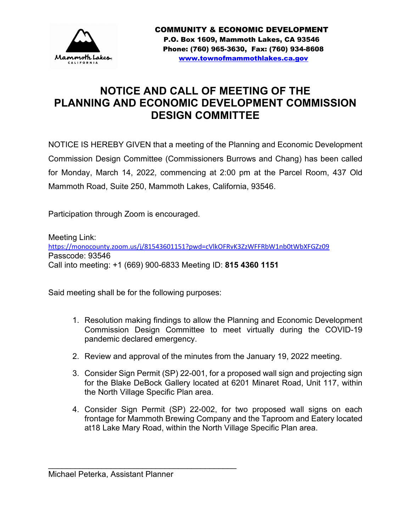

# **NOTICE AND CALL OF MEETING OF THE PLANNING AND ECONOMIC DEVELOPMENT COMMISSION DESIGN COMMITTEE**

NOTICE IS HEREBY GIVEN that a meeting of the Planning and Economic Development Commission Design Committee (Commissioners Burrows and Chang) has been called for Monday, March 14, 2022, commencing at 2:00 pm at the Parcel Room, 437 Old Mammoth Road, Suite 250, Mammoth Lakes, California, 93546.

Participation through Zoom is encouraged.

Meeting Link: <https://monocounty.zoom.us/j/81543601151?pwd=cVlkOFRvK3ZzWFFRbW1nb0tWbXFGZz09> Passcode: 93546 Call into meeting: +1 (669) 900-6833 Meeting ID: **815 4360 1151**

Said meeting shall be for the following purposes:

- 1. Resolution making findings to allow the Planning and Economic Development Commission Design Committee to meet virtually during the COVID-19 pandemic declared emergency.
- 2. Review and approval of the minutes from the January 19, 2022 meeting.
- 3. Consider Sign Permit (SP) 22-001, for a proposed wall sign and projecting sign for the Blake DeBock Gallery located at 6201 Minaret Road, Unit 117, within the North Village Specific Plan area.
- 4. Consider Sign Permit (SP) 22-002, for two proposed wall signs on each frontage for Mammoth Brewing Company and the Taproom and Eatery located at18 Lake Mary Road, within the North Village Specific Plan area.

Michael Peterka, Assistant Planner

\_\_\_\_\_\_\_\_\_\_\_\_\_\_\_\_\_\_\_\_\_\_\_\_\_\_\_\_\_\_\_\_\_\_\_\_\_\_\_\_\_\_